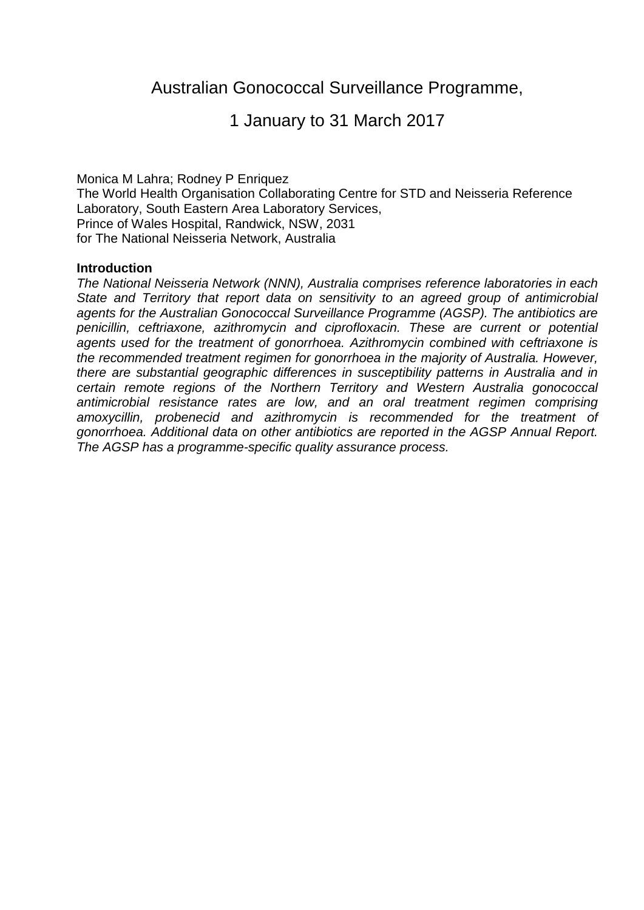# Australian Gonococcal Surveillance Programme,

# 1 January to 31 March 2017

Monica M Lahra; Rodney P Enriquez The World Health Organisation Collaborating Centre for STD and Neisseria Reference Laboratory, South Eastern Area Laboratory Services, Prince of Wales Hospital, Randwick, NSW, 2031 for The National Neisseria Network, Australia

#### **Introduction**

*The National Neisseria Network (NNN), Australia comprises reference laboratories in each State and Territory that report data on sensitivity to an agreed group of antimicrobial agents for the Australian Gonococcal Surveillance Programme (AGSP). The antibiotics are penicillin, ceftriaxone, azithromycin and ciprofloxacin. These are current or potential agents used for the treatment of gonorrhoea. Azithromycin combined with ceftriaxone is the recommended treatment regimen for gonorrhoea in the majority of Australia. However, there are substantial geographic differences in susceptibility patterns in Australia and in certain remote regions of the Northern Territory and Western Australia gonococcal antimicrobial resistance rates are low, and an oral treatment regimen comprising amoxycillin, probenecid and azithromycin is recommended for the treatment of gonorrhoea. Additional data on other antibiotics are reported in the AGSP Annual Report. The AGSP has a programme-specific quality assurance process.*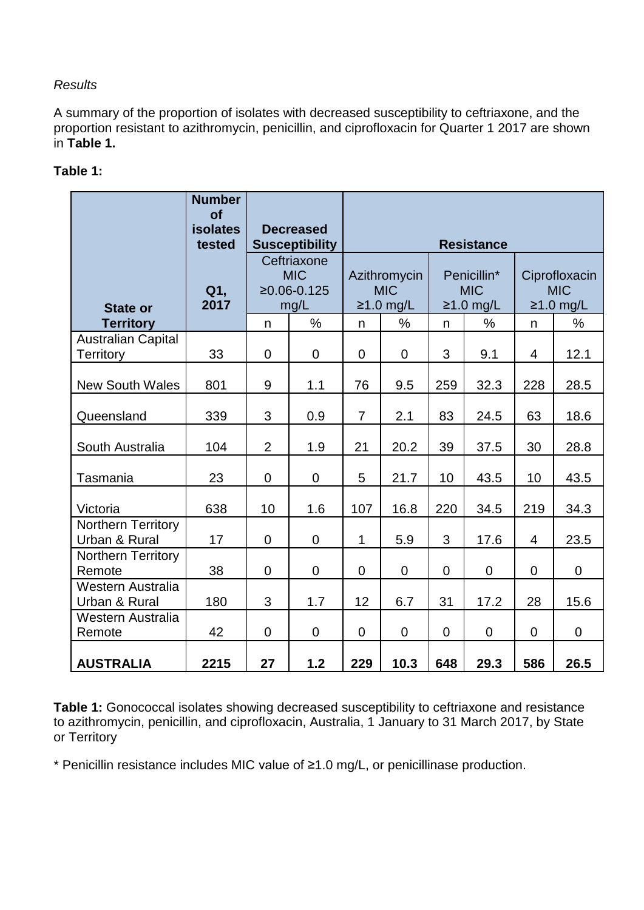## *Results*

A summary of the proportion of isolates with decreased susceptibility to ceftriaxone, and the proportion resistant to azithromycin, penicillin, and ciprofloxacin for Quarter 1 2017 are shown in **Table 1.**

## **Table 1:**

|                                               | <b>Number</b><br>of<br><b>isolates</b><br>tested | <b>Decreased</b><br><b>Susceptibility</b><br>Ceftriaxone<br><b>MIC</b><br>$≥0.06-0.125$<br>mg/L |                | <b>Resistance</b>                         |                |                                          |                |                                            |                |  |  |
|-----------------------------------------------|--------------------------------------------------|-------------------------------------------------------------------------------------------------|----------------|-------------------------------------------|----------------|------------------------------------------|----------------|--------------------------------------------|----------------|--|--|
| <b>State or</b>                               | Q1,<br>2017                                      |                                                                                                 |                | Azithromycin<br><b>MIC</b><br>$≥1.0$ mg/L |                | Penicillin*<br><b>MIC</b><br>$≥1.0$ mg/L |                | Ciprofloxacin<br><b>MIC</b><br>$≥1.0$ mg/L |                |  |  |
| <b>Territory</b>                              |                                                  | n                                                                                               | $\%$           | n                                         | %              | n                                        | %              | $\mathsf{n}$                               | %              |  |  |
| <b>Australian Capital</b><br><b>Territory</b> | 33                                               | $\mathbf 0$                                                                                     | $\mathbf 0$    | $\mathbf 0$                               | $\mathbf 0$    | 3                                        | 9.1            | $\overline{4}$                             | 12.1           |  |  |
| <b>New South Wales</b>                        | 801                                              | 9                                                                                               | 1.1            | 76                                        | 9.5            | 259                                      | 32.3           | 228                                        | 28.5           |  |  |
| Queensland                                    | 339                                              | 3                                                                                               | 0.9            | $\overline{7}$                            | 2.1            | 83                                       | 24.5           | 63                                         | 18.6           |  |  |
| South Australia                               | 104                                              | $\overline{2}$                                                                                  | 1.9            | 21                                        | 20.2           | 39                                       | 37.5           | 30                                         | 28.8           |  |  |
| Tasmania                                      | 23                                               | $\overline{0}$                                                                                  | $\mathbf 0$    | 5                                         | 21.7           | 10                                       | 43.5           | 10                                         | 43.5           |  |  |
| Victoria                                      | 638                                              | 10                                                                                              | 1.6            | 107                                       | 16.8           | 220                                      | 34.5           | 219                                        | 34.3           |  |  |
| <b>Northern Territory</b><br>Urban & Rural    | 17                                               | $\overline{0}$                                                                                  | $\mathbf 0$    | $\mathbf{1}$                              | 5.9            | 3                                        | 17.6           | $\overline{4}$                             | 23.5           |  |  |
| <b>Northern Territory</b><br>Remote           | 38                                               | $\overline{0}$                                                                                  | $\mathbf 0$    | $\overline{0}$                            | $\overline{0}$ | $\overline{0}$                           | $\overline{0}$ | $\overline{0}$                             | $\overline{0}$ |  |  |
| Western Australia<br>Urban & Rural            | 180                                              | 3                                                                                               | 1.7            | 12                                        | 6.7            | 31                                       | 17.2           | 28                                         | 15.6           |  |  |
| Western Australia<br>Remote                   | 42                                               | $\overline{0}$                                                                                  | $\overline{0}$ | $\Omega$                                  | $\Omega$       | $\overline{0}$                           | $\overline{0}$ | $\Omega$                                   | $\overline{0}$ |  |  |
| <b>AUSTRALIA</b>                              | 2215                                             | 27                                                                                              | 1.2            | 229                                       | 10.3           | 648                                      | 29.3           | 586                                        | 26.5           |  |  |

**Table 1:** Gonococcal isolates showing decreased susceptibility to ceftriaxone and resistance to azithromycin, penicillin, and ciprofloxacin, Australia, 1 January to 31 March 2017, by State or Territory

\* Penicillin resistance includes MIC value of ≥1.0 mg/L, or penicillinase production.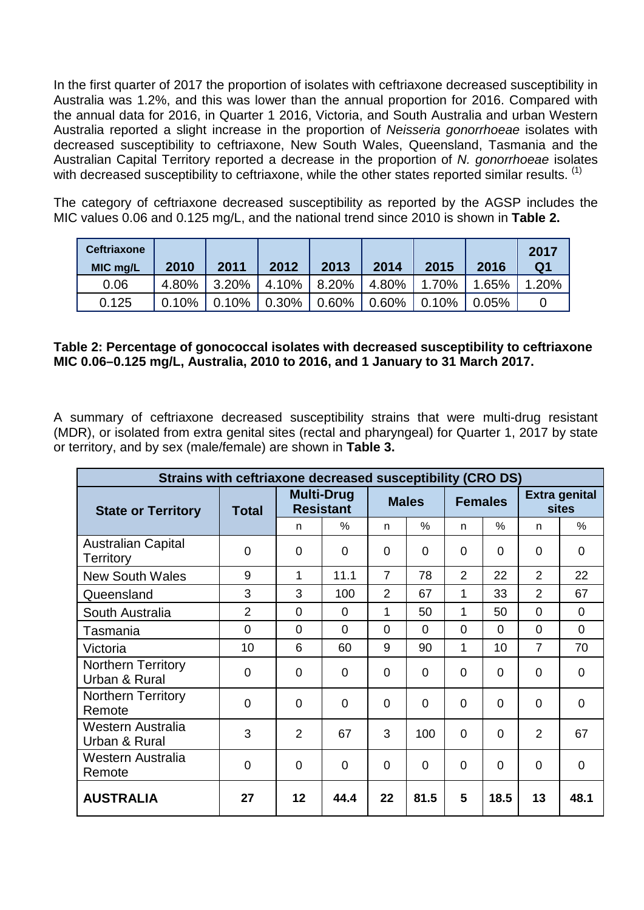In the first quarter of 2017 the proportion of isolates with ceftriaxone decreased susceptibility in Australia was 1.2%, and this was lower than the annual proportion for 2016. Compared with the annual data for 2016, in Quarter 1 2016, Victoria, and South Australia and urban Western Australia reported a slight increase in the proportion of *Neisseria gonorrhoeae* isolates with decreased susceptibility to ceftriaxone, New South Wales, Queensland, Tasmania and the Australian Capital Territory reported a decrease in the proportion of *N. gonorrhoeae* isolates with decreased susceptibility to ceftriaxone, while the other states reported similar results. <sup>[\(1\)](#page-3-0)</sup>

The category of ceftriaxone decreased susceptibility as reported by the AGSP includes the MIC values 0.06 and 0.125 mg/L, and the national trend since 2010 is shown in **Table 2.**

| <b>Ceftriaxone</b><br>MIC mg/L | 2010  | 2011  | 2012     | 2013                | 2014     | 2015  | 2016              | 2017<br>Q <sub>1</sub> |
|--------------------------------|-------|-------|----------|---------------------|----------|-------|-------------------|------------------------|
| 0.06                           | 4.80% | 3.20% |          | $4.10\%$   8.20%    | 4.80%    | 1.70% | 1.65%             | 1.20%                  |
| 0.125                          | 0.10% | 0.10% | $0.30\%$ | $\frac{1}{10.60\%}$ | $0.60\%$ | 0.10% | $^{\prime}$ 0.05% |                        |

### **Table 2: Percentage of gonococcal isolates with decreased susceptibility to ceftriaxone MIC 0.06–0.125 mg/L, Australia, 2010 to 2016, and 1 January to 31 March 2017.**

A summary of ceftriaxone decreased susceptibility strains that were multi-drug resistant (MDR), or isolated from extra genital sites (rectal and pharyngeal) for Quarter 1, 2017 by state or territory, and by sex (male/female) are shown in **Table 3.**

| Strains with ceftriaxone decreased susceptibility (CRO DS) |                |                                       |               |                |          |                |               |                                      |               |
|------------------------------------------------------------|----------------|---------------------------------------|---------------|----------------|----------|----------------|---------------|--------------------------------------|---------------|
| <b>State or Territory</b>                                  | <b>Total</b>   | <b>Multi-Drug</b><br><b>Resistant</b> |               | <b>Males</b>   |          | <b>Females</b> |               | <b>Extra genital</b><br><b>sites</b> |               |
|                                                            |                | n                                     | $\frac{0}{0}$ | n.             | $\%$     | n              | $\frac{0}{0}$ | n                                    | $\frac{0}{0}$ |
| <b>Australian Capital</b><br>Territory                     | 0              | 0                                     | $\Omega$      | $\Omega$       | $\Omega$ | $\Omega$       | $\Omega$      | 0                                    | $\mathbf 0$   |
| <b>New South Wales</b>                                     | 9              | 1                                     | 11.1          | $\overline{7}$ | 78       | $\overline{2}$ | 22            | $\overline{2}$                       | 22            |
| Queensland                                                 | 3              | 3                                     | 100           | $\overline{2}$ | 67       | 1              | 33            | $\overline{2}$                       | 67            |
| South Australia                                            | $\overline{2}$ | $\Omega$                              | $\Omega$      | 1              | 50       | 1              | 50            | $\Omega$                             | $\Omega$      |
| Tasmania                                                   | $\Omega$       | $\Omega$                              | $\Omega$      | $\Omega$       | $\Omega$ | $\Omega$       | $\Omega$      | $\Omega$                             | $\Omega$      |
| Victoria                                                   | 10             | 6                                     | 60            | 9              | 90       | 1              | 10            | $\overline{7}$                       | 70            |
| Northern Territory<br>Urban & Rural                        | $\overline{0}$ | $\Omega$                              | $\Omega$      | $\Omega$       | $\Omega$ | $\Omega$       | $\Omega$      | $\overline{0}$                       | $\mathbf 0$   |
| <b>Northern Territory</b><br>Remote                        | $\Omega$       | $\Omega$                              | $\Omega$      | $\Omega$       | $\Omega$ | $\Omega$       | $\Omega$      | $\overline{0}$                       | $\Omega$      |
| Western Australia<br>Urban & Rural                         | 3              | $\overline{2}$                        | 67            | 3              | 100      | $\Omega$       | $\Omega$      | $\overline{2}$                       | 67            |
| Western Australia<br>Remote                                | $\overline{0}$ | $\Omega$                              | $\Omega$      | $\Omega$       | $\Omega$ | $\Omega$       | $\Omega$      | $\Omega$                             | $\mathbf 0$   |
| <b>AUSTRALIA</b>                                           | 27             | 12                                    | 44.4          | 22             | 81.5     | 5              | 18.5          | 13                                   | 48.1          |